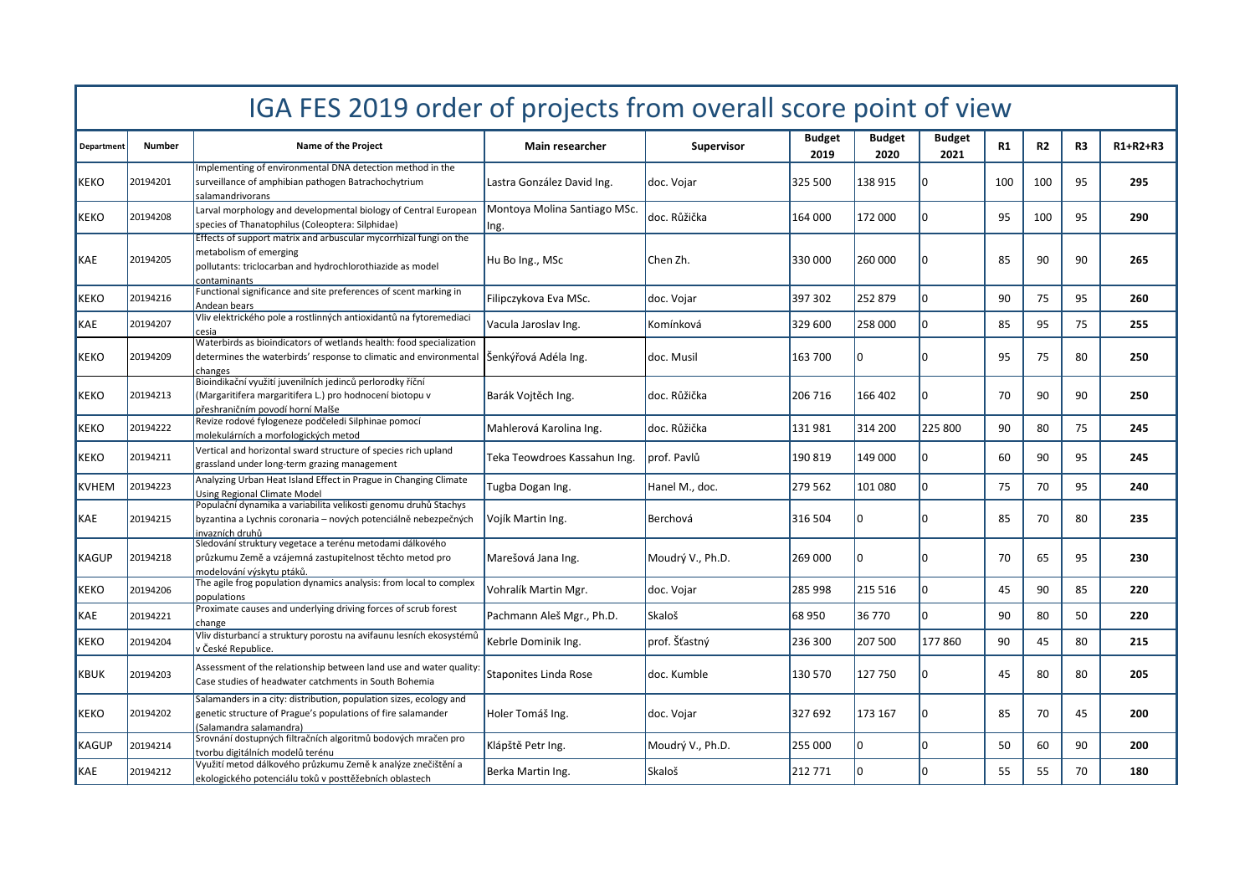| IGA FES 2019 order of projects from overall score point of view |               |                                                                                                                                                                          |                                      |                   |                |                       |                       |           |                |                |            |  |
|-----------------------------------------------------------------|---------------|--------------------------------------------------------------------------------------------------------------------------------------------------------------------------|--------------------------------------|-------------------|----------------|-----------------------|-----------------------|-----------|----------------|----------------|------------|--|
| <b>Department</b>                                               | <b>Number</b> | Name of the Project                                                                                                                                                      | <b>Main researcher</b>               | <b>Supervisor</b> | Budget<br>2019 | <b>Budget</b><br>2020 | <b>Budget</b><br>2021 | <b>R1</b> | R <sub>2</sub> | R <sub>3</sub> | $R1+R2+R3$ |  |
| <b>KEKO</b>                                                     | 20194201      | Implementing of environmental DNA detection method in the<br>surveillance of amphibian pathogen Batrachochytrium<br>salamandrivorans                                     | Lastra González David Ing.           | doc. Vojar        | 325 500        | 138 915               | In                    | 100       | 100            | 95             | 295        |  |
| <b>KEKO</b>                                                     | 20194208      | Larval morphology and developmental biology of Central European<br>species of Thanatophilus (Coleoptera: Silphidae)                                                      | Montoya Molina Santiago MSc.<br>Ing. | doc. Růžička      | 164 000        | 172 000               | I٥                    | 95        | 100            | 95             | 290        |  |
| <b>I</b> KAE                                                    | 20194205      | Effects of support matrix and arbuscular mycorrhizal fungi on the<br>metabolism of emerging<br>pollutants: triclocarban and hydrochlorothiazide as model<br>contaminants | Hu Bo Ing., MSc                      | Chen Zh.          | 330 000        | 260 000               | I٥                    | 85        | 90             | 90             | 265        |  |
| KEKO                                                            | 20194216      | Functional significance and site preferences of scent marking in<br>Andean bears                                                                                         | Filipczykova Eva MSc.                | doc. Vojar        | 397 302        | 252 879               | I٥                    | 90        | 75             | 95             | 260        |  |
| KAE                                                             | 20194207      | Vliv elektrického pole a rostlinných antioxidantů na fytoremediaci<br>cesia                                                                                              | Vacula Jaroslav Ing.                 | Komínková         | 329 600        | 258 000               | I٥                    | 85        | 95             | 75             | 255        |  |
| IKEKO                                                           | 20194209      | Waterbirds as bioindicators of wetlands health: food specialization<br>determines the waterbirds' response to climatic and environmental Senkyrová Adéla Ing.<br>changes |                                      | doc. Musil        | 163 700        | n                     | I٥                    | 95        | 75             | 80             | 250        |  |
| KEKO                                                            | 20194213      | Bioindikační využití juvenilních jedinců perlorodky říční<br>(Margaritifera margaritifera L.) pro hodnocení biotopu v<br>přeshraničním povodí horní Malše                | Barák Vojtěch Ing.                   | ldoc. Růžička     | 206 716        | 166 402               | I٥                    | 70        | 90             | 90             | 250        |  |
| KEKO                                                            | 20194222      | Revize rodové fylogeneze podčeledi Silphinae pomocí<br>molekulárních a morfologických metod                                                                              | Mahlerová Karolina Ing.              | doc. Růžička      | 131 981        | 314 200               | 225 800               | 90        | 80             | 75             | 245        |  |
| KEKO                                                            | 20194211      | Vertical and horizontal sward structure of species rich upland<br>grassland under long-term grazing management                                                           | Teka Teowdroes Kassahun Ing.         | prof. Pavlů       | 190 819        | 149 000               | I٥                    | 60        | 90             | 95             | 245        |  |
| KVHEM                                                           | 20194223      | Analyzing Urban Heat Island Effect in Prague in Changing Climate<br>Using Regional Climate Model                                                                         | Tugba Dogan Ing.                     | Hanel M., doc.    | 279 562        | 101 080               | Ιo                    | 75        | 70             | 95             | 240        |  |
| KAE                                                             | 20194215      | Populační dynamika a variabilita velikosti genomu druhů Stachys<br>byzantina a Lychnis coronaria - nových potenciálně nebezpečných<br>invazních druhů                    | Vojík Martin Ing.                    | Berchová          | 316 504        | U                     |                       | 85        | 70             | 80             | 235        |  |
| KAGUP                                                           | 20194218      | Sledování struktury vegetace a terénu metodami dálkového<br>průzkumu Země a vzájemná zastupitelnost těchto metod pro<br>modelování výskytu ptáků.                        | Marešová Jana Ing.                   | Moudrý V., Ph.D.  | 269 000        |                       |                       | 70        | 65             | 95             | 230        |  |
| <b>KEKO</b>                                                     | 20194206      | The agile frog population dynamics analysis: from local to complex<br>populations                                                                                        | Vohralík Martin Mgr.                 | doc. Vojar        | 285 998        | 215 516               | l٥                    | 45        | 90             | 85             | 220        |  |
| KAE                                                             | 20194221      | Proximate causes and underlying driving forces of scrub forest<br>change                                                                                                 | Pachmann Aleš Mgr., Ph.D.            | Skaloš            | 68 950         | 36 770                | Ιo                    | 90        | 80             | 50             | 220        |  |
| <b>KEKO</b>                                                     | 20194204      | Vliv disturbancí a struktury porostu na avifaunu lesních ekosystémů<br>v České Republice.                                                                                | Kebrle Dominik Ing.                  | prof. Šťastný     | 236 300        | 207 500               | 177860                | 90        | 45             | 80             | 215        |  |
| KBUK                                                            | 20194203      | Assessment of the relationship between land use and water quality<br>Case studies of headwater catchments in South Bohemia                                               | Staponites Linda Rose                | doc. Kumble       | 130 570        | 127750                | I٥                    | 45        | 80             | 80             | 205        |  |
| KEKO                                                            | 20194202      | Salamanders in a city: distribution, population sizes, ecology and<br>genetic structure of Prague's populations of fire salamander<br>(Salamandra salamandra)            | Holer Tomáš Ing.                     | doc. Vojar        | 327 692        | 173 167               | I٥                    | 85        | 70             | 45             | 200        |  |
| KAGUP                                                           | 20194214      | Srovnání dostupných filtračních algoritmů bodových mračen pro<br>tvorbu digitálních modelů terénu                                                                        | Klápště Petr Ing.                    | Moudrý V., Ph.D.  | 255 000        | U                     | I٥                    | 50        | 60             | 90             | 200        |  |
| KAE                                                             | 20194212      | Využití metod dálkového průzkumu Země k analýze znečištění a<br>ekologického potenciálu toků v posttěžebních oblastech                                                   | Berka Martin Ing.                    | Skaloš            | 212 771        |                       | I٥                    | 55        | 55             | 70             | 180        |  |